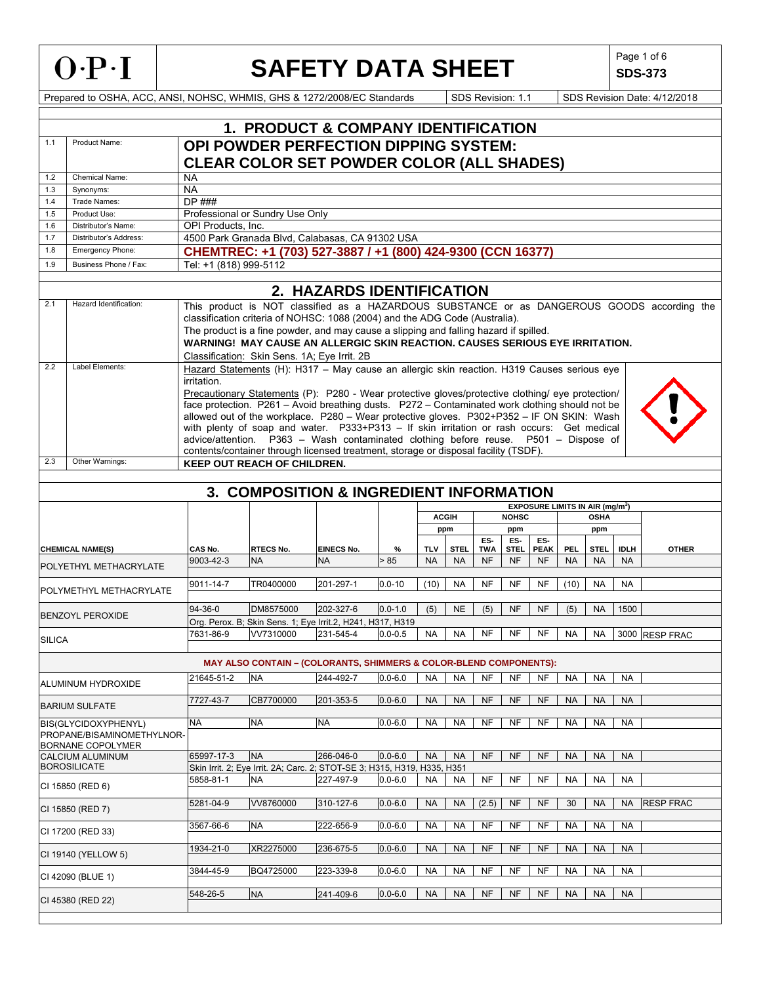| $O \cdot P \cdot I$ |  |
|---------------------|--|
|---------------------|--|

**SDS-373**

|               | <b>1. PRODUCT &amp; COMPANY IDENTIFICATION</b> |                        |                                                                                                                                                                              |            |             |            |              |                |                |                                             |            |             |              |                                                                                             |
|---------------|------------------------------------------------|------------------------|------------------------------------------------------------------------------------------------------------------------------------------------------------------------------|------------|-------------|------------|--------------|----------------|----------------|---------------------------------------------|------------|-------------|--------------|---------------------------------------------------------------------------------------------|
| 1.1           | Product Name:                                  |                        | OPI POWDER PERFECTION DIPPING SYSTEM:                                                                                                                                        |            |             |            |              |                |                |                                             |            |             |              |                                                                                             |
|               |                                                |                        |                                                                                                                                                                              |            |             |            |              |                |                |                                             |            |             |              |                                                                                             |
|               |                                                |                        | <b>CLEAR COLOR SET POWDER COLOR (ALL SHADES)</b>                                                                                                                             |            |             |            |              |                |                |                                             |            |             |              |                                                                                             |
| 1.2           | Chemical Name:                                 | NA                     |                                                                                                                                                                              |            |             |            |              |                |                |                                             |            |             |              |                                                                                             |
| 1.3           | Synonyms:                                      | <b>NA</b>              |                                                                                                                                                                              |            |             |            |              |                |                |                                             |            |             |              |                                                                                             |
| 1.4           | Trade Names:                                   | $DP$ ###               |                                                                                                                                                                              |            |             |            |              |                |                |                                             |            |             |              |                                                                                             |
| 1.5           | Product Use:                                   |                        | Professional or Sundry Use Only                                                                                                                                              |            |             |            |              |                |                |                                             |            |             |              |                                                                                             |
| 1.6           | Distributor's Name:                            | OPI Products, Inc.     | 4500 Park Granada Blvd, Calabasas, CA 91302 USA                                                                                                                              |            |             |            |              |                |                |                                             |            |             |              |                                                                                             |
| 1.7<br>1.8    | Distributor's Address:<br>Emergency Phone:     |                        |                                                                                                                                                                              |            |             |            |              |                |                |                                             |            |             |              |                                                                                             |
|               |                                                |                        | CHEMTREC: +1 (703) 527-3887 / +1 (800) 424-9300 (CCN 16377)                                                                                                                  |            |             |            |              |                |                |                                             |            |             |              |                                                                                             |
| 1.9           | Business Phone / Fax:                          | Tel: +1 (818) 999-5112 |                                                                                                                                                                              |            |             |            |              |                |                |                                             |            |             |              |                                                                                             |
|               | 2. HAZARDS IDENTIFICATION                      |                        |                                                                                                                                                                              |            |             |            |              |                |                |                                             |            |             |              |                                                                                             |
| 2.1           | Hazard Identification:                         |                        |                                                                                                                                                                              |            |             |            |              |                |                |                                             |            |             |              |                                                                                             |
|               |                                                |                        |                                                                                                                                                                              |            |             |            |              |                |                |                                             |            |             |              | This product is NOT classified as a HAZARDOUS SUBSTANCE or as DANGEROUS GOODS according the |
|               |                                                |                        | classification criteria of NOHSC: 1088 (2004) and the ADG Code (Australia).                                                                                                  |            |             |            |              |                |                |                                             |            |             |              |                                                                                             |
|               |                                                |                        | The product is a fine powder, and may cause a slipping and falling hazard if spilled.<br><b>WARNING! MAY CAUSE AN ALLERGIC SKIN REACTION, CAUSES SERIOUS EYE IRRITATION.</b> |            |             |            |              |                |                |                                             |            |             |              |                                                                                             |
|               |                                                |                        |                                                                                                                                                                              |            |             |            |              |                |                |                                             |            |             |              |                                                                                             |
| 2.2           | Label Elements:                                |                        | Classification: Skin Sens. 1A; Eye Irrit. 2B                                                                                                                                 |            |             |            |              |                |                |                                             |            |             |              |                                                                                             |
|               |                                                |                        | Hazard Statements (H): H317 - May cause an allergic skin reaction. H319 Causes serious eye                                                                                   |            |             |            |              |                |                |                                             |            |             |              |                                                                                             |
|               |                                                | irritation.            | Precautionary Statements (P): P280 - Wear protective gloves/protective clothing/ eye protection/                                                                             |            |             |            |              |                |                |                                             |            |             |              |                                                                                             |
|               |                                                |                        | face protection. P261 - Avoid breathing dusts. P272 - Contaminated work clothing should not be                                                                               |            |             |            |              |                |                |                                             |            |             |              |                                                                                             |
|               |                                                |                        | allowed out of the workplace. P280 - Wear protective gloves. P302+P352 - IF ON SKIN: Wash                                                                                    |            |             |            |              |                |                |                                             |            |             |              |                                                                                             |
|               |                                                |                        | with plenty of soap and water. P333+P313 - If skin irritation or rash occurs: Get medical                                                                                    |            |             |            |              |                |                |                                             |            |             |              |                                                                                             |
|               |                                                |                        | advice/attention. P363 - Wash contaminated clothing before reuse. P501 - Dispose of                                                                                          |            |             |            |              |                |                |                                             |            |             |              |                                                                                             |
|               |                                                |                        | contents/container through licensed treatment, storage or disposal facility (TSDF).                                                                                          |            |             |            |              |                |                |                                             |            |             |              |                                                                                             |
| 2.3           | Other Warnings:                                |                        | <b>KEEP OUT REACH OF CHILDREN.</b>                                                                                                                                           |            |             |            |              |                |                |                                             |            |             |              |                                                                                             |
|               |                                                |                        |                                                                                                                                                                              |            |             |            |              |                |                |                                             |            |             |              |                                                                                             |
|               |                                                |                        | 3. COMPOSITION & INGREDIENT INFORMATION                                                                                                                                      |            |             |            |              |                |                |                                             |            |             |              |                                                                                             |
|               |                                                |                        |                                                                                                                                                                              |            |             |            |              |                |                | EXPOSURE LIMITS IN AIR (mg/m <sup>3</sup> ) |            |             |              |                                                                                             |
|               |                                                |                        |                                                                                                                                                                              |            |             |            | <b>ACGIH</b> |                | <b>NOHSC</b>   |                                             |            | <b>OSHA</b> |              |                                                                                             |
|               |                                                |                        |                                                                                                                                                                              |            |             |            | ppm          |                | ppm            |                                             |            | ppm         |              |                                                                                             |
|               |                                                |                        |                                                                                                                                                                              |            |             |            |              | ES-            | ES-            | ES-                                         |            |             |              |                                                                                             |
|               | <b>CHEMICAL NAME(S)</b>                        | CAS No.                | <b>RTECS No.</b>                                                                                                                                                             | EINECS No. | $\%$        | <b>TLV</b> | <b>STEL</b>  | <b>TWA</b>     | <b>STEL</b>    | <b>PEAK</b>                                 | <b>PEL</b> | <b>STEL</b> | <b>IDLII</b> | <b>OTHER</b>                                                                                |
|               | POLYETHYL METHACRYLATE                         | 9003-42-3              | <b>NA</b>                                                                                                                                                                    | <b>NA</b>  | > 85        | <b>NA</b>  | <b>NA</b>    | <b>NF</b>      | <b>NF</b>      | <b>NF</b>                                   | <b>NA</b>  | <b>NA</b>   | <b>NA</b>    |                                                                                             |
|               |                                                |                        |                                                                                                                                                                              |            |             |            |              |                |                |                                             |            |             |              |                                                                                             |
|               | POLYMETHYL METHACRYLATE                        | 9011-14-7              | TR0400000                                                                                                                                                                    | 201-297-1  | $0.0 - 10$  | (10)       | NA           | <b>NF</b>      | <b>NF</b>      | <b>NF</b>                                   | (10)       | <b>NA</b>   | <b>NA</b>    |                                                                                             |
|               |                                                |                        |                                                                                                                                                                              | 202-327-6  |             |            |              |                |                |                                             |            |             |              |                                                                                             |
|               | <b>BENZOYL PEROXIDE</b>                        | 94-36-0                | DM8575000                                                                                                                                                                    |            | $0.0 - 1.0$ | (5)        | <b>NE</b>    | (5)            | <b>NF</b>      | <b>NF</b>                                   | (5)        | <b>NA</b>   | 1500         |                                                                                             |
|               |                                                | 7631-86-9              | Org. Perox. B; Skin Sens. 1; Eye Irrit.2, H241, H317, H319<br>VV7310000                                                                                                      |            |             |            |              | NF             | NF             | NF                                          |            |             |              |                                                                                             |
| <b>SILICA</b> |                                                |                        |                                                                                                                                                                              | 231-545-4  | $0.0 - 0.5$ | <b>NA</b>  | <b>NA</b>    |                |                |                                             | <b>NA</b>  | <b>NA</b>   |              | 3000 RESP FRAC                                                                              |
|               |                                                |                        |                                                                                                                                                                              |            |             |            |              |                |                |                                             |            |             |              |                                                                                             |
|               |                                                | 21645-51-2             | <b>MAY ALSO CONTAIN - (COLORANTS, SHIMMERS &amp; COLOR-BLEND COMPONENTS):</b><br><b>NA</b>                                                                                   | 244-492-7  | $0.0 - 6.0$ | <b>NA</b>  | <b>NA</b>    | <b>NF</b>      | NF             | NF                                          | <b>NA</b>  | <b>NA</b>   | <b>NA</b>    |                                                                                             |
|               | ALUMINUM HYDROXIDE                             |                        |                                                                                                                                                                              |            |             |            |              |                |                |                                             |            |             |              |                                                                                             |
|               |                                                | 7727-43-7              | CB7700000                                                                                                                                                                    | 201-353-5  | $0.0 - 6.0$ | <b>NA</b>  | <b>NA</b>    | <b>NF</b>      | N <sub>F</sub> | NF                                          | <b>NA</b>  | <b>NA</b>   | <b>NA</b>    |                                                                                             |
|               | <b>BARIUM SULFATE</b>                          |                        |                                                                                                                                                                              |            |             |            |              |                |                |                                             |            |             |              |                                                                                             |
|               | BIS(GLYCIDOXYPHENYL)                           | <b>NA</b>              | <b>NA</b>                                                                                                                                                                    | <b>NA</b>  | $0.0 - 6.0$ | <b>NA</b>  | <b>NA</b>    | N <sub>F</sub> | N <sub>F</sub> | NF                                          | <b>NA</b>  | <b>NA</b>   | NA           |                                                                                             |
|               | PROPANE/BISAMINOMETHYLNOR-                     |                        |                                                                                                                                                                              |            |             |            |              |                |                |                                             |            |             |              |                                                                                             |
|               | BORNANE COPOLYMER                              |                        |                                                                                                                                                                              |            |             |            |              |                |                |                                             |            |             |              |                                                                                             |
|               | <b>CALCIUM ALUMINUM</b>                        | 65997-17-3             | <b>NA</b>                                                                                                                                                                    | 266-046-0  | $0.0 - 6.0$ | <b>NA</b>  | <b>NA</b>    | <b>NF</b>      | <b>NF</b>      | NF                                          | <b>NA</b>  | <b>NA</b>   | <b>NA</b>    |                                                                                             |
|               | <b>BOROSILICATE</b>                            |                        | Skin Irrit. 2; Eye Irrit. 2A; Carc. 2; STOT-SE 3; H315, H319, H335, H351<br><b>NA</b>                                                                                        |            |             |            |              | <b>NF</b>      | <b>NF</b>      | <b>NF</b>                                   |            |             |              |                                                                                             |
|               | CI 15850 (RED 6)                               | 5858-81-1              |                                                                                                                                                                              | 227-497-9  | $0.0 - 6.0$ | <b>NA</b>  | <b>NA</b>    |                |                |                                             | <b>NA</b>  | <b>NA</b>   | <b>NA</b>    |                                                                                             |
|               |                                                | 5281-04-9              | VV8760000                                                                                                                                                                    | 310-127-6  | $0.0 - 6.0$ | <b>NA</b>  | <b>NA</b>    | (2.5)          | <b>NF</b>      | <b>NF</b>                                   | 30         | <b>NA</b>   | NA           | <b>RESP FRAC</b>                                                                            |
|               | CI 15850 (RED 7)                               |                        |                                                                                                                                                                              |            |             |            |              |                |                |                                             |            |             |              |                                                                                             |
|               |                                                | 3567-66-6              | <b>NA</b>                                                                                                                                                                    | 222-656-9  | $0.0 - 6.0$ | <b>NA</b>  | <b>NA</b>    | <b>NF</b>      | NF             | NF                                          | <b>NA</b>  | <b>NA</b>   | NA           |                                                                                             |
|               | CI 17200 (RED 33)                              |                        |                                                                                                                                                                              |            |             |            |              |                |                |                                             |            |             |              |                                                                                             |
|               |                                                | 1934-21-0              | XR2275000                                                                                                                                                                    | 236-675-5  | $0.0 - 6.0$ | <b>NA</b>  | <b>NA</b>    | <b>NF</b>      | <b>NF</b>      | <b>NF</b>                                   | <b>NA</b>  | <b>NA</b>   | <b>NA</b>    |                                                                                             |
|               | CI 19140 (YELLOW 5)                            |                        |                                                                                                                                                                              |            |             |            |              |                |                |                                             |            |             |              |                                                                                             |
|               | CI 42090 (BLUE 1)                              | 3844-45-9              | BQ4725000                                                                                                                                                                    | 223-339-8  | $0.0 - 6.0$ | NA         | <b>NA</b>    | NF             | NF             | NF                                          | NA.        | <b>NA</b>   | <b>NA</b>    |                                                                                             |
|               |                                                |                        |                                                                                                                                                                              |            |             |            |              |                |                |                                             |            |             |              |                                                                                             |
|               | CI 45380 (RED 22)                              | 548-26-5               | <b>NA</b>                                                                                                                                                                    | 241-409-6  | $0.0 - 6.0$ | <b>NA</b>  | <b>NA</b>    | <b>NF</b>      | <b>NF</b>      | <b>NF</b>                                   | <b>NA</b>  | <b>NA</b>   | <b>NA</b>    |                                                                                             |
|               |                                                |                        |                                                                                                                                                                              |            |             |            |              |                |                |                                             |            |             |              |                                                                                             |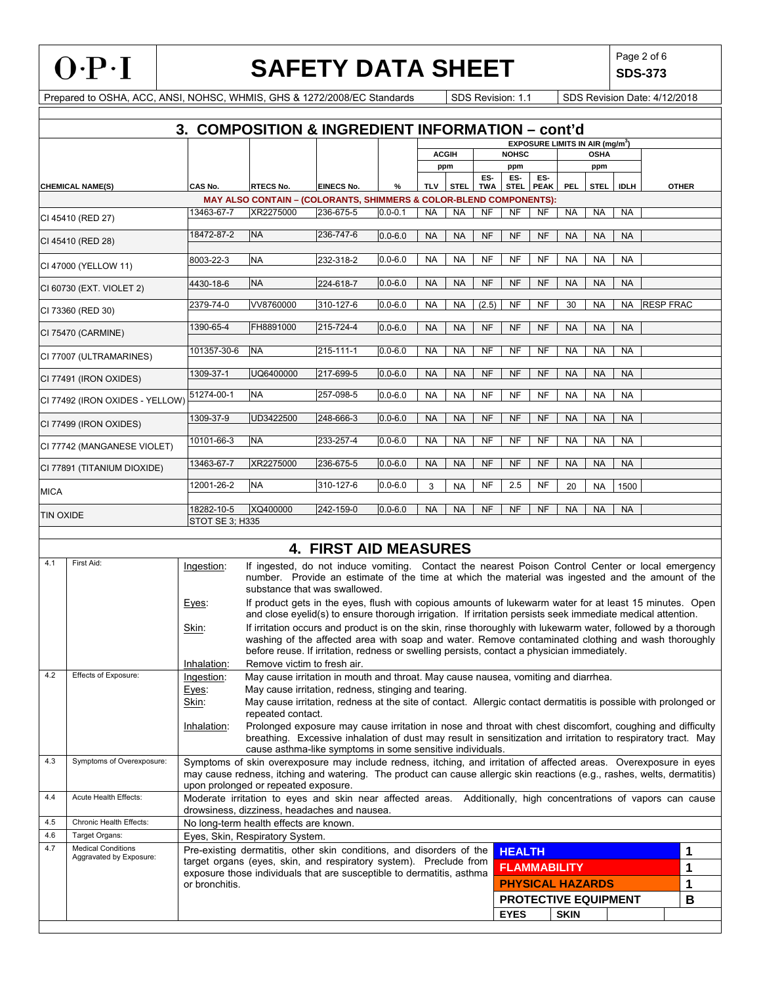**SDS-373**

|                  | 3.<br><b>COMPOSITION &amp; INGREDIENT INFORMATION - cont'd</b>                                                                                  |                                                                                                                                                                  |                                                                                                                                                                                                                        |                              |             |           |              |                   |                    |                     |             |                                             |             |                  |              |
|------------------|-------------------------------------------------------------------------------------------------------------------------------------------------|------------------------------------------------------------------------------------------------------------------------------------------------------------------|------------------------------------------------------------------------------------------------------------------------------------------------------------------------------------------------------------------------|------------------------------|-------------|-----------|--------------|-------------------|--------------------|---------------------|-------------|---------------------------------------------|-------------|------------------|--------------|
|                  |                                                                                                                                                 |                                                                                                                                                                  |                                                                                                                                                                                                                        |                              |             |           |              |                   |                    |                     |             | EXPOSURE LIMITS IN AIR (mg/m <sup>3</sup> ) |             |                  |              |
|                  |                                                                                                                                                 |                                                                                                                                                                  |                                                                                                                                                                                                                        |                              |             |           | <b>ACGIH</b> |                   | <b>NOHSC</b>       |                     |             | <b>OSHA</b>                                 |             |                  |              |
|                  |                                                                                                                                                 |                                                                                                                                                                  |                                                                                                                                                                                                                        |                              |             |           | ppm          |                   | ppm                |                     |             | ppm                                         |             |                  |              |
|                  | <b>CHEMICAL NAME(S)</b>                                                                                                                         | CAS No.                                                                                                                                                          | <b>RTECS No.</b>                                                                                                                                                                                                       | <b>EINECS No.</b>            | %           | TLV       | <b>STEL</b>  | ES-<br><b>TWA</b> | ES-<br><b>STEL</b> | ES-<br><b>PEAK</b>  | <b>PEL</b>  | <b>STEL</b>                                 | <b>IDLH</b> |                  | <b>OTHER</b> |
|                  |                                                                                                                                                 |                                                                                                                                                                  | MAY ALSO CONTAIN - (COLORANTS, SHIMMERS & COLOR-BLEND COMPONENTS):                                                                                                                                                     |                              |             |           |              |                   |                    |                     |             |                                             |             |                  |              |
|                  | CI 45410 (RED 27)                                                                                                                               | 13463-67-7                                                                                                                                                       | XR2275000                                                                                                                                                                                                              | 236-675-5                    | $0.0 - 0.1$ | <b>NA</b> | <b>NA</b>    | <b>NF</b>         | NF                 | NF                  | <b>NA</b>   | <b>NA</b>                                   | <b>NA</b>   |                  |              |
|                  |                                                                                                                                                 | 18472-87-2                                                                                                                                                       | <b>NA</b>                                                                                                                                                                                                              | 236-747-6                    | $0.0 - 6.0$ | <b>NA</b> | <b>NA</b>    | <b>NF</b>         | <b>NF</b>          | <b>NF</b>           | <b>NA</b>   | <b>NA</b>                                   | <b>NA</b>   |                  |              |
|                  | CI 45410 (RED 28)                                                                                                                               |                                                                                                                                                                  |                                                                                                                                                                                                                        |                              |             |           |              |                   |                    |                     |             |                                             |             |                  |              |
|                  | CI 47000 (YELLOW 11)                                                                                                                            | 8003-22-3                                                                                                                                                        | <b>NA</b>                                                                                                                                                                                                              | 232-318-2                    | $0.0 - 6.0$ | <b>NA</b> | <b>NA</b>    | NF                | NF                 | NF                  | NA          | NA                                          | <b>NA</b>   |                  |              |
|                  | CI 60730 (EXT. VIOLET 2)                                                                                                                        | 4430-18-6                                                                                                                                                        | <b>NA</b>                                                                                                                                                                                                              | 224-618-7                    | $0.0 - 6.0$ | <b>NA</b> | <b>NA</b>    | <b>NF</b>         | <b>NF</b>          | <b>NF</b>           | <b>NA</b>   | <b>NA</b>                                   | <b>NA</b>   |                  |              |
|                  | CI 73360 (RED 30)                                                                                                                               | 2379-74-0                                                                                                                                                        | VV8760000                                                                                                                                                                                                              | 310-127-6                    | $0.0 - 6.0$ | <b>NA</b> | <b>NA</b>    | (2.5)             | NF                 | NF                  | 30          | <b>NA</b>                                   | <b>NA</b>   | <b>RESP FRAC</b> |              |
|                  | CI 75470 (CARMINE)                                                                                                                              | 1390-65-4                                                                                                                                                        | FH8891000                                                                                                                                                                                                              | 215-724-4                    | $0.0 - 6.0$ | <b>NA</b> | <b>NA</b>    | <b>NF</b>         | <b>NF</b>          | <b>NF</b>           | <b>NA</b>   | <b>NA</b>                                   | <b>NA</b>   |                  |              |
|                  | CI 77007 (ULTRAMARINES)                                                                                                                         | 101357-30-6                                                                                                                                                      | <b>NA</b>                                                                                                                                                                                                              | 215-111-1                    | $0.0 - 6.0$ | <b>NA</b> | <b>NA</b>    | NF                | <b>NF</b>          | NF                  | <b>NA</b>   | NA                                          | <b>NA</b>   |                  |              |
|                  | CI 77491 (IRON OXIDES)                                                                                                                          | 1309-37-1                                                                                                                                                        | UQ6400000                                                                                                                                                                                                              | 217-699-5                    | $0.0 - 6.0$ | <b>NA</b> | <b>NA</b>    | <b>NF</b>         | <b>NF</b>          | NF                  | <b>NA</b>   | <b>NA</b>                                   | <b>NA</b>   |                  |              |
|                  |                                                                                                                                                 | 51274-00-1                                                                                                                                                       | <b>NA</b>                                                                                                                                                                                                              | 257-098-5                    | $0.0 - 6.0$ | <b>NA</b> | <b>NA</b>    | NF                | NF                 | NF                  | <b>NA</b>   | NA                                          | <b>NA</b>   |                  |              |
|                  | CI 77492 (IRON OXIDES - YELLOW)                                                                                                                 |                                                                                                                                                                  |                                                                                                                                                                                                                        |                              |             |           |              |                   |                    |                     |             |                                             |             |                  |              |
|                  | CI 77499 (IRON OXIDES)                                                                                                                          | 1309-37-9                                                                                                                                                        | UD3422500                                                                                                                                                                                                              | 248-666-3                    | $0.0 - 6.0$ | <b>NA</b> | <b>NA</b>    | <b>NF</b>         | <b>NF</b>          | <b>NF</b>           | <b>NA</b>   | <b>NA</b>                                   | <b>NA</b>   |                  |              |
|                  | CI 77742 (MANGANESE VIOLET)                                                                                                                     | 10101-66-3                                                                                                                                                       | <b>NA</b>                                                                                                                                                                                                              | 233-257-4                    | $0.0 - 6.0$ | <b>NA</b> | <b>NA</b>    | <b>NF</b>         | <b>NF</b>          | NF                  | <b>NA</b>   | <b>NA</b>                                   | <b>NA</b>   |                  |              |
|                  | CI 77891 (TITANIUM DIOXIDE)                                                                                                                     | 13463-67-7                                                                                                                                                       | XR2275000                                                                                                                                                                                                              | 236-675-5                    | $0.0 - 6.0$ | <b>NA</b> | <b>NA</b>    | <b>NF</b>         | <b>NF</b>          | <b>NF</b>           | <b>NA</b>   | <b>NA</b>                                   | <b>NA</b>   |                  |              |
| <b>MICA</b>      |                                                                                                                                                 | 12001-26-2                                                                                                                                                       | <b>NA</b>                                                                                                                                                                                                              | 310-127-6                    | $0.0 - 6.0$ | 3         | <b>NA</b>    | <b>NF</b>         | 2.5                | NF                  | 20          | <b>NA</b>                                   | 1500        |                  |              |
|                  |                                                                                                                                                 | 18282-10-5                                                                                                                                                       | XQ400000                                                                                                                                                                                                               | 242-159-0                    | $0.0 - 6.0$ | <b>NA</b> | <b>NA</b>    | <b>NF</b>         | <b>NF</b>          | NF                  | <b>NA</b>   | <b>NA</b>                                   | <b>NA</b>   |                  |              |
| <b>TIN OXIDE</b> |                                                                                                                                                 | STOT SE 3; H335                                                                                                                                                  |                                                                                                                                                                                                                        |                              |             |           |              |                   |                    |                     |             |                                             |             |                  |              |
|                  |                                                                                                                                                 |                                                                                                                                                                  |                                                                                                                                                                                                                        | <b>4. FIRST AID MEASURES</b> |             |           |              |                   |                    |                     |             |                                             |             |                  |              |
| 4.1              | First Aid:                                                                                                                                      | Ingestion:                                                                                                                                                       | If ingested, do not induce vomiting. Contact the nearest Poison Control Center or local emergency                                                                                                                      |                              |             |           |              |                   |                    |                     |             |                                             |             |                  |              |
|                  |                                                                                                                                                 |                                                                                                                                                                  | number. Provide an estimate of the time at which the material was ingested and the amount of the<br>substance that was swallowed.                                                                                      |                              |             |           |              |                   |                    |                     |             |                                             |             |                  |              |
|                  |                                                                                                                                                 | Eyes:                                                                                                                                                            | If product gets in the eyes, flush with copious amounts of lukewarm water for at least 15 minutes. Open<br>and close eyelid(s) to ensure thorough irrigation. If irritation persists seek immediate medical attention. |                              |             |           |              |                   |                    |                     |             |                                             |             |                  |              |
|                  |                                                                                                                                                 | Skin:                                                                                                                                                            | If irritation occurs and product is on the skin, rinse thoroughly with lukewarm water, followed by a thorough<br>washing of the affected area with soap and water. Remove contaminated clothing and wash thoroughly    |                              |             |           |              |                   |                    |                     |             |                                             |             |                  |              |
|                  |                                                                                                                                                 |                                                                                                                                                                  | before reuse. If irritation, redness or swelling persists, contact a physician immediately.                                                                                                                            |                              |             |           |              |                   |                    |                     |             |                                             |             |                  |              |
| 4.2              | Effects of Exposure:                                                                                                                            | Inhalation:<br>Ingestion:                                                                                                                                        | Remove victim to fresh air.<br>May cause irritation in mouth and throat. May cause nausea, vomiting and diarrhea.                                                                                                      |                              |             |           |              |                   |                    |                     |             |                                             |             |                  |              |
|                  |                                                                                                                                                 | Eyes:                                                                                                                                                            | May cause irritation, redness, stinging and tearing.                                                                                                                                                                   |                              |             |           |              |                   |                    |                     |             |                                             |             |                  |              |
|                  |                                                                                                                                                 | Skin:                                                                                                                                                            | May cause irritation, redness at the site of contact. Allergic contact dermatitis is possible with prolonged or                                                                                                        |                              |             |           |              |                   |                    |                     |             |                                             |             |                  |              |
|                  |                                                                                                                                                 | Inhalation:                                                                                                                                                      | repeated contact.<br>Prolonged exposure may cause irritation in nose and throat with chest discomfort, coughing and difficulty                                                                                         |                              |             |           |              |                   |                    |                     |             |                                             |             |                  |              |
|                  |                                                                                                                                                 |                                                                                                                                                                  | breathing. Excessive inhalation of dust may result in sensitization and irritation to respiratory tract. May<br>cause asthma-like symptoms in some sensitive individuals.                                              |                              |             |           |              |                   |                    |                     |             |                                             |             |                  |              |
| 4.3              | Symptoms of Overexposure:<br>Symptoms of skin overexposure may include redness, itching, and irritation of affected areas. Overexposure in eyes |                                                                                                                                                                  |                                                                                                                                                                                                                        |                              |             |           |              |                   |                    |                     |             |                                             |             |                  |              |
|                  |                                                                                                                                                 | may cause redness, itching and watering. The product can cause allergic skin reactions (e.g., rashes, welts, dermatitis)<br>upon prolonged or repeated exposure. |                                                                                                                                                                                                                        |                              |             |           |              |                   |                    |                     |             |                                             |             |                  |              |
| 4.4              | Acute Health Effects:                                                                                                                           | Moderate irritation to eyes and skin near affected areas. Additionally, high concentrations of vapors can cause<br>drowsiness, dizziness, headaches and nausea.  |                                                                                                                                                                                                                        |                              |             |           |              |                   |                    |                     |             |                                             |             |                  |              |
| 4.5              | Chronic Health Effects:<br>No long-term health effects are known.                                                                               |                                                                                                                                                                  |                                                                                                                                                                                                                        |                              |             |           |              |                   |                    |                     |             |                                             |             |                  |              |
| 4.6              | Target Organs:                                                                                                                                  |                                                                                                                                                                  | Eyes, Skin, Respiratory System.                                                                                                                                                                                        |                              |             |           |              |                   |                    |                     |             |                                             |             |                  |              |
| 4.7              | <b>Medical Conditions</b><br>Aggravated by Exposure:                                                                                            |                                                                                                                                                                  | Pre-existing dermatitis, other skin conditions, and disorders of the                                                                                                                                                   |                              |             |           |              |                   | <b>HEALTH</b>      |                     |             |                                             |             |                  | 1            |
|                  |                                                                                                                                                 |                                                                                                                                                                  | target organs (eyes, skin, and respiratory system). Preclude from<br>exposure those individuals that are susceptible to dermatitis, asthma                                                                             |                              |             |           |              |                   |                    | <b>FLAMMABILITY</b> |             |                                             |             |                  | 1            |
|                  |                                                                                                                                                 | or bronchitis.                                                                                                                                                   |                                                                                                                                                                                                                        |                              |             |           |              |                   |                    |                     |             | <b>PHYSICAL HAZARDS</b>                     |             |                  | 1            |
|                  |                                                                                                                                                 |                                                                                                                                                                  |                                                                                                                                                                                                                        |                              |             |           |              |                   |                    |                     |             | PROTECTIVE EQUIPMENT                        |             |                  | B            |
|                  |                                                                                                                                                 |                                                                                                                                                                  |                                                                                                                                                                                                                        |                              |             |           |              |                   | <b>EYES</b>        |                     | <b>SKIN</b> |                                             |             |                  |              |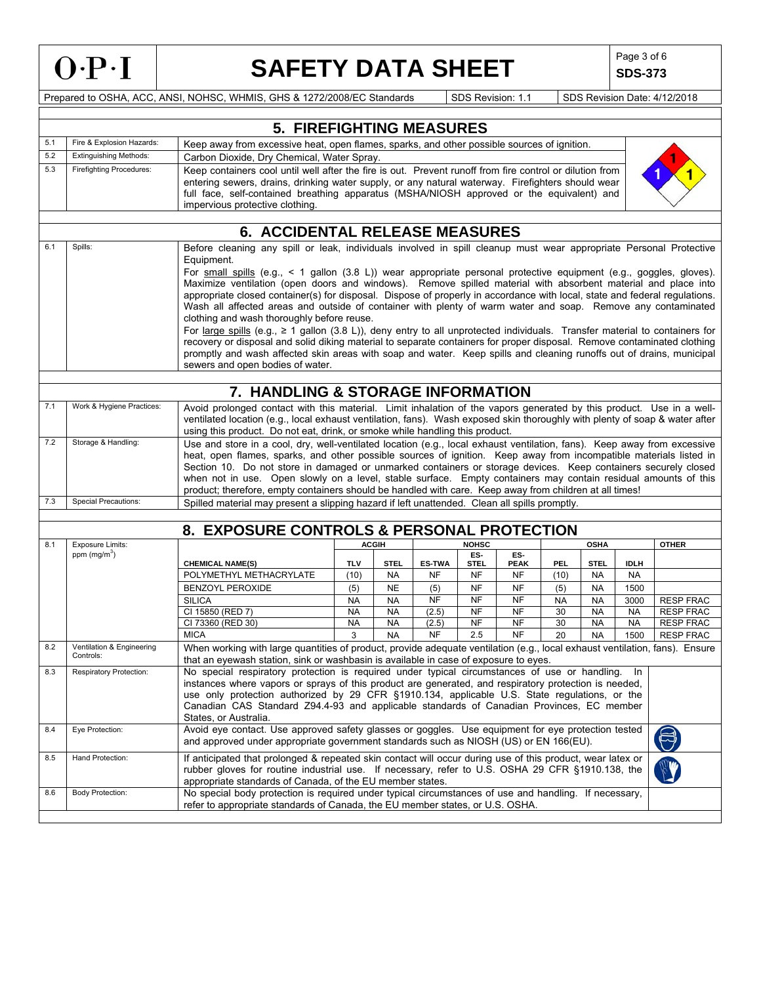

**SDS-373**

Prepared to OSHA, ACC, ANSI, NOHSC, WHMIS, GHS & 1272/2008/EC Standards SDS Revision: 1.1 SDS Revision Date: 4/12/2018

|                                        |                                        | <b>5. FIREFIGHTING MEASURES</b>                                                                                                                                                                                                                                                                                                                                                                                                                                                                                                                                                                                                                                                                                                                                                                                                                                                                                                                                                                                                                                                                      |                                                                                                                                                                                                                                                                                                                                                                      |              |               |              |             |           |             |             |                  |
|----------------------------------------|----------------------------------------|------------------------------------------------------------------------------------------------------------------------------------------------------------------------------------------------------------------------------------------------------------------------------------------------------------------------------------------------------------------------------------------------------------------------------------------------------------------------------------------------------------------------------------------------------------------------------------------------------------------------------------------------------------------------------------------------------------------------------------------------------------------------------------------------------------------------------------------------------------------------------------------------------------------------------------------------------------------------------------------------------------------------------------------------------------------------------------------------------|----------------------------------------------------------------------------------------------------------------------------------------------------------------------------------------------------------------------------------------------------------------------------------------------------------------------------------------------------------------------|--------------|---------------|--------------|-------------|-----------|-------------|-------------|------------------|
| 5.1                                    | Fire & Explosion Hazards:              |                                                                                                                                                                                                                                                                                                                                                                                                                                                                                                                                                                                                                                                                                                                                                                                                                                                                                                                                                                                                                                                                                                      |                                                                                                                                                                                                                                                                                                                                                                      |              |               |              |             |           |             |             |                  |
| 5.2                                    | <b>Extinguishing Methods:</b>          |                                                                                                                                                                                                                                                                                                                                                                                                                                                                                                                                                                                                                                                                                                                                                                                                                                                                                                                                                                                                                                                                                                      | Keep away from excessive heat, open flames, sparks, and other possible sources of ignition.<br>Carbon Dioxide, Dry Chemical, Water Spray.                                                                                                                                                                                                                            |              |               |              |             |           |             |             |                  |
| 5.3<br><b>Firefighting Procedures:</b> |                                        |                                                                                                                                                                                                                                                                                                                                                                                                                                                                                                                                                                                                                                                                                                                                                                                                                                                                                                                                                                                                                                                                                                      |                                                                                                                                                                                                                                                                                                                                                                      |              |               |              |             |           |             |             |                  |
|                                        |                                        | Keep containers cool until well after the fire is out. Prevent runoff from fire control or dilution from<br>entering sewers, drains, drinking water supply, or any natural waterway. Firefighters should wear<br>full face, self-contained breathing apparatus (MSHA/NIOSH approved or the equivalent) and<br>impervious protective clothing.                                                                                                                                                                                                                                                                                                                                                                                                                                                                                                                                                                                                                                                                                                                                                        |                                                                                                                                                                                                                                                                                                                                                                      |              |               |              |             |           |             |             |                  |
|                                        |                                        | <b>6. ACCIDENTAL RELEASE MEASURES</b>                                                                                                                                                                                                                                                                                                                                                                                                                                                                                                                                                                                                                                                                                                                                                                                                                                                                                                                                                                                                                                                                |                                                                                                                                                                                                                                                                                                                                                                      |              |               |              |             |           |             |             |                  |
| 6.1                                    | Spills:                                |                                                                                                                                                                                                                                                                                                                                                                                                                                                                                                                                                                                                                                                                                                                                                                                                                                                                                                                                                                                                                                                                                                      |                                                                                                                                                                                                                                                                                                                                                                      |              |               |              |             |           |             |             |                  |
|                                        |                                        | Before cleaning any spill or leak, individuals involved in spill cleanup must wear appropriate Personal Protective<br>Equipment.<br>For small spills (e.g., $\leq 1$ gallon (3.8 L)) wear appropriate personal protective equipment (e.g., goggles, gloves).<br>Maximize ventilation (open doors and windows). Remove spilled material with absorbent material and place into<br>appropriate closed container(s) for disposal. Dispose of properly in accordance with local, state and federal regulations.<br>Wash all affected areas and outside of container with plenty of warm water and soap. Remove any contaminated<br>clothing and wash thoroughly before reuse.<br>For large spills (e.g., $\geq 1$ gallon (3.8 L)), deny entry to all unprotected individuals. Transfer material to containers for<br>recovery or disposal and solid diking material to separate containers for proper disposal. Remove contaminated clothing<br>promptly and wash affected skin areas with soap and water. Keep spills and cleaning runoffs out of drains, municipal<br>sewers and open bodies of water. |                                                                                                                                                                                                                                                                                                                                                                      |              |               |              |             |           |             |             |                  |
|                                        | 7. HANDLING & STORAGE INFORMATION      |                                                                                                                                                                                                                                                                                                                                                                                                                                                                                                                                                                                                                                                                                                                                                                                                                                                                                                                                                                                                                                                                                                      |                                                                                                                                                                                                                                                                                                                                                                      |              |               |              |             |           |             |             |                  |
| 7.1                                    | Work & Hygiene Practices:              | Avoid prolonged contact with this material. Limit inhalation of the vapors generated by this product. Use in a well-<br>ventilated location (e.g., local exhaust ventilation, fans). Wash exposed skin thoroughly with plenty of soap & water after                                                                                                                                                                                                                                                                                                                                                                                                                                                                                                                                                                                                                                                                                                                                                                                                                                                  |                                                                                                                                                                                                                                                                                                                                                                      |              |               |              |             |           |             |             |                  |
|                                        |                                        | using this product. Do not eat, drink, or smoke while handling this product.                                                                                                                                                                                                                                                                                                                                                                                                                                                                                                                                                                                                                                                                                                                                                                                                                                                                                                                                                                                                                         |                                                                                                                                                                                                                                                                                                                                                                      |              |               |              |             |           |             |             |                  |
| 7.2                                    | Storage & Handling:                    | Use and store in a cool, dry, well-ventilated location (e.g., local exhaust ventilation, fans). Keep away from excessive<br>heat, open flames, sparks, and other possible sources of ignition. Keep away from incompatible materials listed in<br>Section 10. Do not store in damaged or unmarked containers or storage devices. Keep containers securely closed<br>when not in use. Open slowly on a level, stable surface. Empty containers may contain residual amounts of this<br>product; therefore, empty containers should be handled with care. Keep away from children at all times!                                                                                                                                                                                                                                                                                                                                                                                                                                                                                                        |                                                                                                                                                                                                                                                                                                                                                                      |              |               |              |             |           |             |             |                  |
| 7.3                                    | <b>Special Precautions:</b>            | Spilled material may present a slipping hazard if left unattended. Clean all spills promptly.                                                                                                                                                                                                                                                                                                                                                                                                                                                                                                                                                                                                                                                                                                                                                                                                                                                                                                                                                                                                        |                                                                                                                                                                                                                                                                                                                                                                      |              |               |              |             |           |             |             |                  |
|                                        |                                        | 8. EXPOSURE CONTROLS & PERSONAL PROTECTION                                                                                                                                                                                                                                                                                                                                                                                                                                                                                                                                                                                                                                                                                                                                                                                                                                                                                                                                                                                                                                                           |                                                                                                                                                                                                                                                                                                                                                                      |              |               |              |             |           |             |             |                  |
| 8.1                                    | <b>Exposure Limits:</b>                |                                                                                                                                                                                                                                                                                                                                                                                                                                                                                                                                                                                                                                                                                                                                                                                                                                                                                                                                                                                                                                                                                                      |                                                                                                                                                                                                                                                                                                                                                                      | <b>ACGIH</b> |               | <b>NOHSC</b> |             |           | <b>OSHA</b> |             | <b>OTHER</b>     |
|                                        | ppm $(mg/m3)$                          |                                                                                                                                                                                                                                                                                                                                                                                                                                                                                                                                                                                                                                                                                                                                                                                                                                                                                                                                                                                                                                                                                                      |                                                                                                                                                                                                                                                                                                                                                                      |              |               | ES-          | ES-         |           |             |             |                  |
|                                        |                                        | <b>CHEMICAL NAME(S)</b>                                                                                                                                                                                                                                                                                                                                                                                                                                                                                                                                                                                                                                                                                                                                                                                                                                                                                                                                                                                                                                                                              | <b>TLV</b>                                                                                                                                                                                                                                                                                                                                                           | <b>STEL</b>  | <b>ES-TWA</b> | <b>STEL</b>  | <b>PEAK</b> | PEL       | <b>STEL</b> | <b>IDLH</b> |                  |
|                                        |                                        | POLYMETHYL METHACRYLATE                                                                                                                                                                                                                                                                                                                                                                                                                                                                                                                                                                                                                                                                                                                                                                                                                                                                                                                                                                                                                                                                              | (10)                                                                                                                                                                                                                                                                                                                                                                 | <b>NA</b>    | NF            | NF           | NF          | (10)      | NA          | NA          |                  |
|                                        |                                        | <b>BENZOYL PEROXIDE</b>                                                                                                                                                                                                                                                                                                                                                                                                                                                                                                                                                                                                                                                                                                                                                                                                                                                                                                                                                                                                                                                                              | (5)                                                                                                                                                                                                                                                                                                                                                                  | <b>NE</b>    | (5)           | NF           | <b>NF</b>   | (5)       | <b>NA</b>   | 1500        |                  |
|                                        |                                        | <b>SILICA</b>                                                                                                                                                                                                                                                                                                                                                                                                                                                                                                                                                                                                                                                                                                                                                                                                                                                                                                                                                                                                                                                                                        | <b>NA</b>                                                                                                                                                                                                                                                                                                                                                            | <b>NA</b>    | NF            | NF           | <b>NF</b>   | <b>NA</b> | <b>NA</b>   | 3000        | <b>RESP FRAC</b> |
|                                        |                                        | CI 15850 (RED 7)                                                                                                                                                                                                                                                                                                                                                                                                                                                                                                                                                                                                                                                                                                                                                                                                                                                                                                                                                                                                                                                                                     | <b>NA</b>                                                                                                                                                                                                                                                                                                                                                            | <b>NA</b>    | (2.5)         | <b>NF</b>    | <b>NF</b>   | 30        | <b>NA</b>   | <b>NA</b>   | <b>RESP FRAC</b> |
|                                        |                                        | CI 73360 (RED 30)                                                                                                                                                                                                                                                                                                                                                                                                                                                                                                                                                                                                                                                                                                                                                                                                                                                                                                                                                                                                                                                                                    | <b>NA</b>                                                                                                                                                                                                                                                                                                                                                            | <b>NA</b>    | (2.5)         | NF           | <b>NF</b>   | 30        | <b>NA</b>   | <b>NA</b>   | <b>RESP FRAC</b> |
|                                        |                                        | <b>MICA</b>                                                                                                                                                                                                                                                                                                                                                                                                                                                                                                                                                                                                                                                                                                                                                                                                                                                                                                                                                                                                                                                                                          | 3                                                                                                                                                                                                                                                                                                                                                                    | <b>NA</b>    | <b>NF</b>     | 2.5          | <b>NF</b>   | 20        | <b>NA</b>   | 1500        | <b>RESP FRAC</b> |
| 8.2                                    | Ventilation & Engineering<br>Controls: | When working with large quantities of product, provide adequate ventilation (e.g., local exhaust ventilation, fans). Ensure<br>that an eyewash station, sink or washbasin is available in case of exposure to eyes.                                                                                                                                                                                                                                                                                                                                                                                                                                                                                                                                                                                                                                                                                                                                                                                                                                                                                  |                                                                                                                                                                                                                                                                                                                                                                      |              |               |              |             |           |             |             |                  |
| 8.3                                    | Respiratory Protection:                | No special respiratory protection is required under typical circumstances of use or handling.<br>- In<br>instances where vapors or sprays of this product are generated, and respiratory protection is needed,<br>use only protection authorized by 29 CFR §1910.134, applicable U.S. State regulations, or the<br>Canadian CAS Standard Z94.4-93 and applicable standards of Canadian Provinces, EC member<br>States, or Australia.                                                                                                                                                                                                                                                                                                                                                                                                                                                                                                                                                                                                                                                                 |                                                                                                                                                                                                                                                                                                                                                                      |              |               |              |             |           |             |             |                  |
| 8.4                                    | Eye Protection:                        | Avoid eye contact. Use approved safety glasses or goggles. Use equipment for eye protection tested                                                                                                                                                                                                                                                                                                                                                                                                                                                                                                                                                                                                                                                                                                                                                                                                                                                                                                                                                                                                   |                                                                                                                                                                                                                                                                                                                                                                      |              |               |              |             |           |             |             |                  |
| 8.5                                    | Hand Protection:                       |                                                                                                                                                                                                                                                                                                                                                                                                                                                                                                                                                                                                                                                                                                                                                                                                                                                                                                                                                                                                                                                                                                      | and approved under appropriate government standards such as NIOSH (US) or EN 166(EU).<br>If anticipated that prolonged & repeated skin contact will occur during use of this product, wear latex or<br>rubber gloves for routine industrial use. If necessary, refer to U.S. OSHA 29 CFR §1910.138, the<br>appropriate standards of Canada, of the EU member states. |              |               |              |             |           |             |             |                  |

8.6 Body Protection: No special body protection is required under typical circumstances of use and handling. If necessary, refer to appropriate standards of Canada, the EU member states, or U.S. OSHA.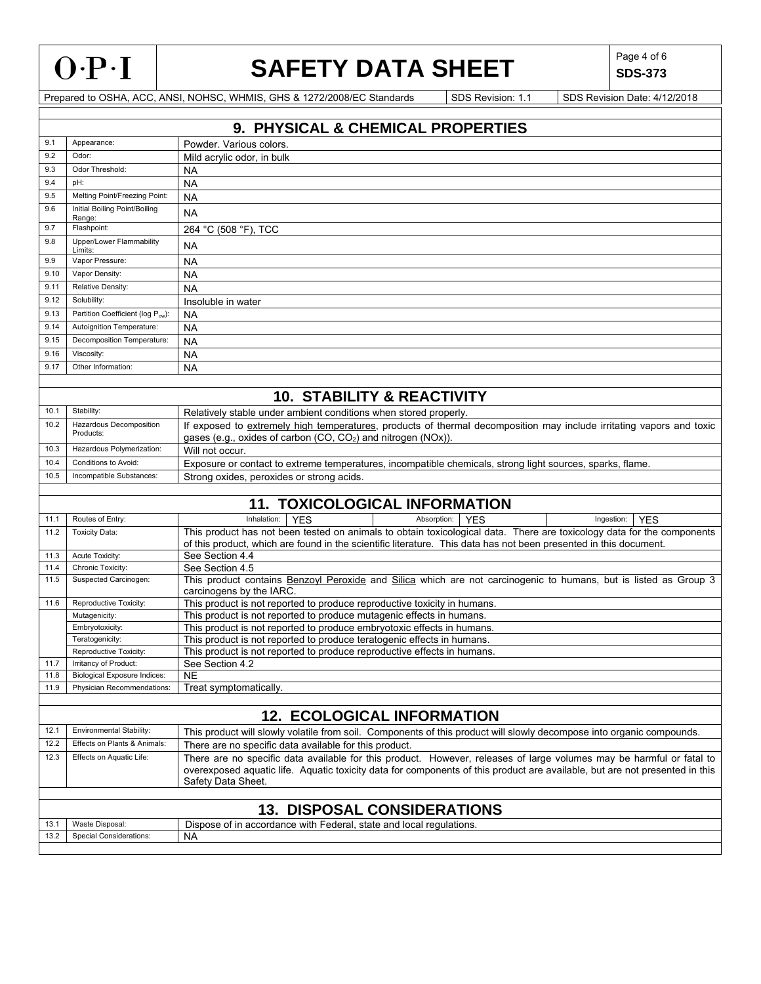

ľ

# **SAFETY DATA SHEET** SDS-373

**SDS-373**

|              | 9. PHYSICAL & CHEMICAL PROPERTIES                                                                                                                                                                                                                                                                     |                                                                                                                                                                                                   |  |  |  |  |  |  |
|--------------|-------------------------------------------------------------------------------------------------------------------------------------------------------------------------------------------------------------------------------------------------------------------------------------------------------|---------------------------------------------------------------------------------------------------------------------------------------------------------------------------------------------------|--|--|--|--|--|--|
| 9.1          | Appearance:                                                                                                                                                                                                                                                                                           | Powder. Various colors.                                                                                                                                                                           |  |  |  |  |  |  |
| 9.2          | Odor:                                                                                                                                                                                                                                                                                                 | Mild acrylic odor, in bulk                                                                                                                                                                        |  |  |  |  |  |  |
| 9.3          | Odor Threshold:                                                                                                                                                                                                                                                                                       | <b>NA</b>                                                                                                                                                                                         |  |  |  |  |  |  |
| 9.4          | pH:                                                                                                                                                                                                                                                                                                   | <b>NA</b>                                                                                                                                                                                         |  |  |  |  |  |  |
| 9.5          | Melting Point/Freezing Point:                                                                                                                                                                                                                                                                         | <b>NA</b>                                                                                                                                                                                         |  |  |  |  |  |  |
| 9.6          | Initial Boiling Point/Boiling<br>Range:                                                                                                                                                                                                                                                               |                                                                                                                                                                                                   |  |  |  |  |  |  |
| 9.7          | Flashpoint:                                                                                                                                                                                                                                                                                           | 264 °C (508 °F), TCC                                                                                                                                                                              |  |  |  |  |  |  |
| 9.8          | Upper/Lower Flammability<br>Limits:                                                                                                                                                                                                                                                                   | <b>NA</b>                                                                                                                                                                                         |  |  |  |  |  |  |
| 9.9          | Vapor Pressure:                                                                                                                                                                                                                                                                                       | <b>NA</b>                                                                                                                                                                                         |  |  |  |  |  |  |
| 9.10         | Vapor Density:                                                                                                                                                                                                                                                                                        | <b>NA</b>                                                                                                                                                                                         |  |  |  |  |  |  |
| 9.11         | Relative Density:                                                                                                                                                                                                                                                                                     |                                                                                                                                                                                                   |  |  |  |  |  |  |
| 9.12         | Solubility:                                                                                                                                                                                                                                                                                           | Insoluble in water                                                                                                                                                                                |  |  |  |  |  |  |
| 9.13         | Partition Coefficient (log Pow):                                                                                                                                                                                                                                                                      | <b>NA</b>                                                                                                                                                                                         |  |  |  |  |  |  |
| 9.14         | Autoignition Temperature:                                                                                                                                                                                                                                                                             | <b>NA</b>                                                                                                                                                                                         |  |  |  |  |  |  |
| 9.15         | Decomposition Temperature:                                                                                                                                                                                                                                                                            | <b>NA</b>                                                                                                                                                                                         |  |  |  |  |  |  |
| 9.16         | Viscosity:                                                                                                                                                                                                                                                                                            | <b>NA</b>                                                                                                                                                                                         |  |  |  |  |  |  |
| 9.17         | Other Information:                                                                                                                                                                                                                                                                                    | <b>NA</b>                                                                                                                                                                                         |  |  |  |  |  |  |
|              |                                                                                                                                                                                                                                                                                                       |                                                                                                                                                                                                   |  |  |  |  |  |  |
|              |                                                                                                                                                                                                                                                                                                       | <b>10. STABILITY &amp; REACTIVITY</b>                                                                                                                                                             |  |  |  |  |  |  |
| 10.1         | Stability:                                                                                                                                                                                                                                                                                            | Relatively stable under ambient conditions when stored properly.                                                                                                                                  |  |  |  |  |  |  |
| 10.2         | Hazardous Decomposition<br>Products:                                                                                                                                                                                                                                                                  | If exposed to extremely high temperatures, products of thermal decomposition may include irritating vapors and toxic<br>gases (e.g., oxides of carbon (CO, CO <sub>2</sub> ) and nitrogen (NOx)). |  |  |  |  |  |  |
| 10.3         | Hazardous Polymerization:                                                                                                                                                                                                                                                                             | Will not occur.                                                                                                                                                                                   |  |  |  |  |  |  |
| 10.4         | Conditions to Avoid:                                                                                                                                                                                                                                                                                  | Exposure or contact to extreme temperatures, incompatible chemicals, strong light sources, sparks, flame.                                                                                         |  |  |  |  |  |  |
| 10.5         | Incompatible Substances:                                                                                                                                                                                                                                                                              | Strong oxides, peroxides or strong acids.                                                                                                                                                         |  |  |  |  |  |  |
|              |                                                                                                                                                                                                                                                                                                       |                                                                                                                                                                                                   |  |  |  |  |  |  |
|              |                                                                                                                                                                                                                                                                                                       | <b>11. TOXICOLOGICAL INFORMATION</b>                                                                                                                                                              |  |  |  |  |  |  |
| 11.1         | Routes of Entry:                                                                                                                                                                                                                                                                                      | Inhalation:<br><b>YES</b><br>Absorption:<br><b>YES</b><br>Ingestion:<br><b>YES</b>                                                                                                                |  |  |  |  |  |  |
| 11.2         | <b>Toxicity Data:</b>                                                                                                                                                                                                                                                                                 | This product has not been tested on animals to obtain toxicological data. There are toxicology data for the components                                                                            |  |  |  |  |  |  |
| 11.3         | Acute Toxicity:                                                                                                                                                                                                                                                                                       | of this product, which are found in the scientific literature. This data has not been presented in this document.<br>See Section 4.4                                                              |  |  |  |  |  |  |
| 11.4         | Chronic Toxicity:                                                                                                                                                                                                                                                                                     | See Section 4.5                                                                                                                                                                                   |  |  |  |  |  |  |
| 11.5         | Suspected Carcinogen:                                                                                                                                                                                                                                                                                 | This product contains Benzoyl Peroxide and Silica which are not carcinogenic to humans, but is listed as Group 3                                                                                  |  |  |  |  |  |  |
|              |                                                                                                                                                                                                                                                                                                       | carcinogens by the IARC.                                                                                                                                                                          |  |  |  |  |  |  |
| 11.6         | Reproductive Toxicity:                                                                                                                                                                                                                                                                                | This product is not reported to produce reproductive toxicity in humans.                                                                                                                          |  |  |  |  |  |  |
|              | Mutagenicity:                                                                                                                                                                                                                                                                                         | This product is not reported to produce mutagenic effects in humans.                                                                                                                              |  |  |  |  |  |  |
|              | Embryotoxicity:                                                                                                                                                                                                                                                                                       | This product is not reported to produce embryotoxic effects in humans.                                                                                                                            |  |  |  |  |  |  |
|              | Teratogenicity:                                                                                                                                                                                                                                                                                       | This product is not reported to produce teratogenic effects in humans.                                                                                                                            |  |  |  |  |  |  |
|              | Reproductive Toxicity:                                                                                                                                                                                                                                                                                | This product is not reported to produce reproductive effects in humans.                                                                                                                           |  |  |  |  |  |  |
| 11.7<br>11.8 | Irritancy of Product:<br><b>Biological Exposure Indices:</b>                                                                                                                                                                                                                                          | See Section 4.2<br>N <sub>E</sub>                                                                                                                                                                 |  |  |  |  |  |  |
| 11.9         | Physician Recommendations:                                                                                                                                                                                                                                                                            | Treat symptomatically.                                                                                                                                                                            |  |  |  |  |  |  |
|              |                                                                                                                                                                                                                                                                                                       |                                                                                                                                                                                                   |  |  |  |  |  |  |
|              | <b>12. ECOLOGICAL INFORMATION</b>                                                                                                                                                                                                                                                                     |                                                                                                                                                                                                   |  |  |  |  |  |  |
| 12.1         | Environmental Stability:                                                                                                                                                                                                                                                                              | This product will slowly volatile from soil. Components of this product will slowly decompose into organic compounds.                                                                             |  |  |  |  |  |  |
| 12.2         | Effects on Plants & Animals:                                                                                                                                                                                                                                                                          | There are no specific data available for this product.                                                                                                                                            |  |  |  |  |  |  |
| 12.3         | Effects on Aquatic Life:<br>There are no specific data available for this product. However, releases of large volumes may be harmful or fatal to<br>overexposed aquatic life. Aquatic toxicity data for components of this product are available, but are not presented in this<br>Safety Data Sheet. |                                                                                                                                                                                                   |  |  |  |  |  |  |
|              |                                                                                                                                                                                                                                                                                                       |                                                                                                                                                                                                   |  |  |  |  |  |  |
|              |                                                                                                                                                                                                                                                                                                       | <b>13. DISPOSAL CONSIDERATIONS</b>                                                                                                                                                                |  |  |  |  |  |  |
| 13.1         | Waste Disposal:                                                                                                                                                                                                                                                                                       | Dispose of in accordance with Federal, state and local regulations.                                                                                                                               |  |  |  |  |  |  |
| 13.2         | Special Considerations:                                                                                                                                                                                                                                                                               | NA                                                                                                                                                                                                |  |  |  |  |  |  |
|              |                                                                                                                                                                                                                                                                                                       |                                                                                                                                                                                                   |  |  |  |  |  |  |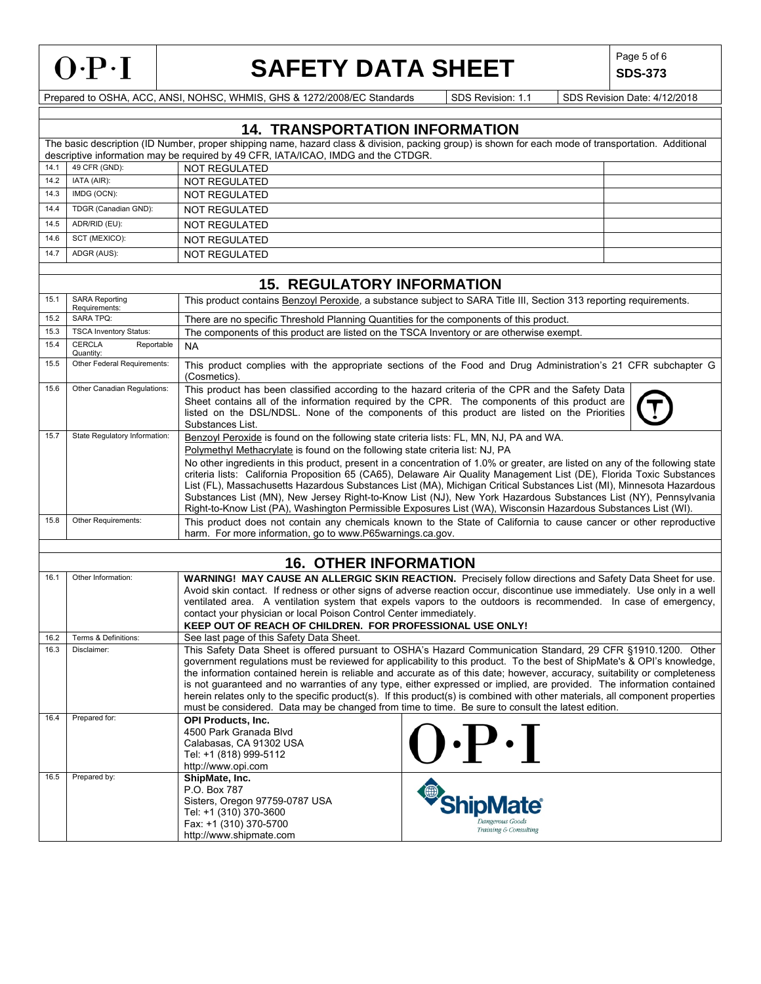

**SDS-373**

|      |                                                                                                                                                                                                                                                                                                                                                                                                                                                                                                                 | <b>14. TRANSPORTATION INFORMATION</b>                                                                                                                                                                                                                                                                                                                                                                                                                                                                                                                                                                                                                                                                                                                                                           |                                                                     |  |  |  |  |  |
|------|-----------------------------------------------------------------------------------------------------------------------------------------------------------------------------------------------------------------------------------------------------------------------------------------------------------------------------------------------------------------------------------------------------------------------------------------------------------------------------------------------------------------|-------------------------------------------------------------------------------------------------------------------------------------------------------------------------------------------------------------------------------------------------------------------------------------------------------------------------------------------------------------------------------------------------------------------------------------------------------------------------------------------------------------------------------------------------------------------------------------------------------------------------------------------------------------------------------------------------------------------------------------------------------------------------------------------------|---------------------------------------------------------------------|--|--|--|--|--|
|      |                                                                                                                                                                                                                                                                                                                                                                                                                                                                                                                 | The basic description (ID Number, proper shipping name, hazard class & division, packing group) is shown for each mode of transportation. Additional                                                                                                                                                                                                                                                                                                                                                                                                                                                                                                                                                                                                                                            |                                                                     |  |  |  |  |  |
| 14.1 | 49 CFR (GND):                                                                                                                                                                                                                                                                                                                                                                                                                                                                                                   | descriptive information may be required by 49 CFR, IATA/ICAO, IMDG and the CTDGR.<br><b>NOT REGULATED</b>                                                                                                                                                                                                                                                                                                                                                                                                                                                                                                                                                                                                                                                                                       |                                                                     |  |  |  |  |  |
| 14.2 | IATA (AIR):                                                                                                                                                                                                                                                                                                                                                                                                                                                                                                     | <b>NOT REGULATED</b>                                                                                                                                                                                                                                                                                                                                                                                                                                                                                                                                                                                                                                                                                                                                                                            |                                                                     |  |  |  |  |  |
| 14.3 | IMDG (OCN):                                                                                                                                                                                                                                                                                                                                                                                                                                                                                                     | <b>NOT REGULATED</b>                                                                                                                                                                                                                                                                                                                                                                                                                                                                                                                                                                                                                                                                                                                                                                            |                                                                     |  |  |  |  |  |
| 14.4 | TDGR (Canadian GND):                                                                                                                                                                                                                                                                                                                                                                                                                                                                                            | <b>NOT REGULATED</b>                                                                                                                                                                                                                                                                                                                                                                                                                                                                                                                                                                                                                                                                                                                                                                            |                                                                     |  |  |  |  |  |
| 14.5 | ADR/RID (EU):                                                                                                                                                                                                                                                                                                                                                                                                                                                                                                   | <b>NOT REGULATED</b>                                                                                                                                                                                                                                                                                                                                                                                                                                                                                                                                                                                                                                                                                                                                                                            |                                                                     |  |  |  |  |  |
| 14.6 | SCT (MEXICO):                                                                                                                                                                                                                                                                                                                                                                                                                                                                                                   | <b>NOT REGULATED</b>                                                                                                                                                                                                                                                                                                                                                                                                                                                                                                                                                                                                                                                                                                                                                                            |                                                                     |  |  |  |  |  |
| 14.7 | ADGR (AUS):                                                                                                                                                                                                                                                                                                                                                                                                                                                                                                     | <b>NOT REGULATED</b>                                                                                                                                                                                                                                                                                                                                                                                                                                                                                                                                                                                                                                                                                                                                                                            |                                                                     |  |  |  |  |  |
|      |                                                                                                                                                                                                                                                                                                                                                                                                                                                                                                                 |                                                                                                                                                                                                                                                                                                                                                                                                                                                                                                                                                                                                                                                                                                                                                                                                 |                                                                     |  |  |  |  |  |
|      |                                                                                                                                                                                                                                                                                                                                                                                                                                                                                                                 | <b>15. REGULATORY INFORMATION</b>                                                                                                                                                                                                                                                                                                                                                                                                                                                                                                                                                                                                                                                                                                                                                               |                                                                     |  |  |  |  |  |
| 15.1 | <b>SARA Reporting</b><br>This product contains <b>Benzoyl Peroxide</b> , a substance subject to SARA Title III, Section 313 reporting requirements.<br>Requirements:                                                                                                                                                                                                                                                                                                                                            |                                                                                                                                                                                                                                                                                                                                                                                                                                                                                                                                                                                                                                                                                                                                                                                                 |                                                                     |  |  |  |  |  |
| 15.2 | <b>SARA TPQ:</b>                                                                                                                                                                                                                                                                                                                                                                                                                                                                                                | There are no specific Threshold Planning Quantities for the components of this product.                                                                                                                                                                                                                                                                                                                                                                                                                                                                                                                                                                                                                                                                                                         |                                                                     |  |  |  |  |  |
| 15.3 | <b>TSCA Inventory Status:</b><br><b>CERCLA</b>                                                                                                                                                                                                                                                                                                                                                                                                                                                                  | The components of this product are listed on the TSCA Inventory or are otherwise exempt.                                                                                                                                                                                                                                                                                                                                                                                                                                                                                                                                                                                                                                                                                                        |                                                                     |  |  |  |  |  |
| 15.4 | Reportable<br>Quantity:                                                                                                                                                                                                                                                                                                                                                                                                                                                                                         | <b>NA</b>                                                                                                                                                                                                                                                                                                                                                                                                                                                                                                                                                                                                                                                                                                                                                                                       |                                                                     |  |  |  |  |  |
| 15.5 | Other Federal Requirements:                                                                                                                                                                                                                                                                                                                                                                                                                                                                                     | This product complies with the appropriate sections of the Food and Drug Administration's 21 CFR subchapter G<br>(Cosmetics).                                                                                                                                                                                                                                                                                                                                                                                                                                                                                                                                                                                                                                                                   |                                                                     |  |  |  |  |  |
| 15.6 | Other Canadian Regulations:                                                                                                                                                                                                                                                                                                                                                                                                                                                                                     | This product has been classified according to the hazard criteria of the CPR and the Safety Data<br>Sheet contains all of the information required by the CPR. The components of this product are<br>listed on the DSL/NDSL. None of the components of this product are listed on the Priorities<br>Substances List.                                                                                                                                                                                                                                                                                                                                                                                                                                                                            |                                                                     |  |  |  |  |  |
| 15.7 | State Regulatory Information:                                                                                                                                                                                                                                                                                                                                                                                                                                                                                   | Benzoyl Peroxide is found on the following state criteria lists: FL, MN, NJ, PA and WA.<br>Polymethyl Methacrylate is found on the following state criteria list: NJ, PA<br>No other ingredients in this product, present in a concentration of 1.0% or greater, are listed on any of the following state<br>criteria lists: California Proposition 65 (CA65), Delaware Air Quality Management List (DE), Florida Toxic Substances<br>List (FL), Massachusetts Hazardous Substances List (MA), Michigan Critical Substances List (MI), Minnesota Hazardous<br>Substances List (MN), New Jersey Right-to-Know List (NJ), New York Hazardous Substances List (NY), Pennsylvania<br>Right-to-Know List (PA), Washington Permissible Exposures List (WA), Wisconsin Hazardous Substances List (WI). |                                                                     |  |  |  |  |  |
| 15.8 | Other Requirements:                                                                                                                                                                                                                                                                                                                                                                                                                                                                                             | This product does not contain any chemicals known to the State of California to cause cancer or other reproductive<br>harm. For more information, go to www.P65warnings.ca.gov.                                                                                                                                                                                                                                                                                                                                                                                                                                                                                                                                                                                                                 |                                                                     |  |  |  |  |  |
|      |                                                                                                                                                                                                                                                                                                                                                                                                                                                                                                                 |                                                                                                                                                                                                                                                                                                                                                                                                                                                                                                                                                                                                                                                                                                                                                                                                 |                                                                     |  |  |  |  |  |
|      |                                                                                                                                                                                                                                                                                                                                                                                                                                                                                                                 | <b>16. OTHER INFORMATION</b>                                                                                                                                                                                                                                                                                                                                                                                                                                                                                                                                                                                                                                                                                                                                                                    |                                                                     |  |  |  |  |  |
| 16.1 | Other Information:<br>WARNING! MAY CAUSE AN ALLERGIC SKIN REACTION. Precisely follow directions and Safety Data Sheet for use.<br>Avoid skin contact. If redness or other signs of adverse reaction occur, discontinue use immediately. Use only in a well<br>ventilated area. A ventilation system that expels vapors to the outdoors is recommended. In case of emergency,<br>contact your physician or local Poison Control Center immediately.<br>KEEP OUT OF REACH OF CHILDREN. FOR PROFESSIONAL USE ONLY! |                                                                                                                                                                                                                                                                                                                                                                                                                                                                                                                                                                                                                                                                                                                                                                                                 |                                                                     |  |  |  |  |  |
| 16.2 | Terms & Definitions:                                                                                                                                                                                                                                                                                                                                                                                                                                                                                            | See last page of this Safety Data Sheet.                                                                                                                                                                                                                                                                                                                                                                                                                                                                                                                                                                                                                                                                                                                                                        |                                                                     |  |  |  |  |  |
| 16.3 | Disclaimer:                                                                                                                                                                                                                                                                                                                                                                                                                                                                                                     | This Safety Data Sheet is offered pursuant to OSHA's Hazard Communication Standard, 29 CFR §1910.1200. Other<br>government regulations must be reviewed for applicability to this product. To the best of ShipMate's & OPI's knowledge,<br>the information contained herein is reliable and accurate as of this date; however, accuracy, suitability or completeness<br>is not guaranteed and no warranties of any type, either expressed or implied, are provided. The information contained<br>herein relates only to the specific product(s). If this product(s) is combined with other materials, all component properties<br>must be considered. Data may be changed from time to time. Be sure to consult the latest edition.                                                             |                                                                     |  |  |  |  |  |
| 16.4 | Prepared for:                                                                                                                                                                                                                                                                                                                                                                                                                                                                                                   | <b>OPI Products, Inc.</b><br>4500 Park Granada Blvd<br>Calabasas, CA 91302 USA<br>Tel: +1 (818) 999-5112<br>http://www.opi.com                                                                                                                                                                                                                                                                                                                                                                                                                                                                                                                                                                                                                                                                  | $\mathbf{Q} \cdot \mathbf{P} \cdot \mathbf{I}$                      |  |  |  |  |  |
| 16.5 | Prepared by:                                                                                                                                                                                                                                                                                                                                                                                                                                                                                                    | ShipMate, Inc.<br>P.O. Box 787<br>Sisters, Oregon 97759-0787 USA<br>Tel: +1 (310) 370-3600<br>Fax: +1 (310) 370-5700<br>http://www.shipmate.com                                                                                                                                                                                                                                                                                                                                                                                                                                                                                                                                                                                                                                                 | <i><b>ShipMate®</b></i><br>Dangerous Goods<br>Training & Consulting |  |  |  |  |  |